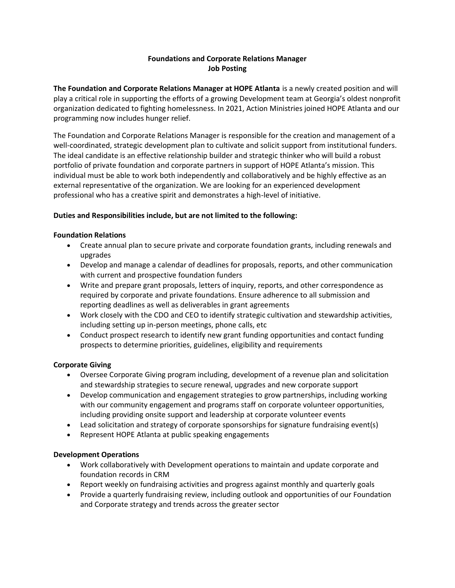# **Foundations and Corporate Relations Manager Job Posting**

**The Foundation and Corporate Relations Manager at HOPE Atlanta** is a newly created position and will play a critical role in supporting the efforts of a growing Development team at Georgia's oldest nonprofit organization dedicated to fighting homelessness. In 2021, Action Ministries joined HOPE Atlanta and our programming now includes hunger relief.

The Foundation and Corporate Relations Manager is responsible for the creation and management of a well-coordinated, strategic development plan to cultivate and solicit support from institutional funders. The ideal candidate is an effective relationship builder and strategic thinker who will build a robust portfolio of private foundation and corporate partners in support of HOPE Atlanta's mission. This individual must be able to work both independently and collaboratively and be highly effective as an external representative of the organization. We are looking for an experienced development professional who has a creative spirit and demonstrates a high-level of initiative.

## **Duties and Responsibilities include, but are not limited to the following:**

## **Foundation Relations**

- Create annual plan to secure private and corporate foundation grants, including renewals and upgrades
- Develop and manage a calendar of deadlines for proposals, reports, and other communication with current and prospective foundation funders
- Write and prepare grant proposals, letters of inquiry, reports, and other correspondence as required by corporate and private foundations. Ensure adherence to all submission and reporting deadlines as well as deliverables in grant agreements
- Work closely with the CDO and CEO to identify strategic cultivation and stewardship activities, including setting up in-person meetings, phone calls, etc
- Conduct prospect research to identify new grant funding opportunities and contact funding prospects to determine priorities, guidelines, eligibility and requirements

# **Corporate Giving**

- Oversee Corporate Giving program including, development of a revenue plan and solicitation and stewardship strategies to secure renewal, upgrades and new corporate support
- Develop communication and engagement strategies to grow partnerships, including working with our community engagement and programs staff on corporate volunteer opportunities, including providing onsite support and leadership at corporate volunteer events
- Lead solicitation and strategy of corporate sponsorships for signature fundraising event(s)
- Represent HOPE Atlanta at public speaking engagements

#### **Development Operations**

- Work collaboratively with Development operations to maintain and update corporate and foundation records in CRM
- Report weekly on fundraising activities and progress against monthly and quarterly goals
- Provide a quarterly fundraising review, including outlook and opportunities of our Foundation and Corporate strategy and trends across the greater sector